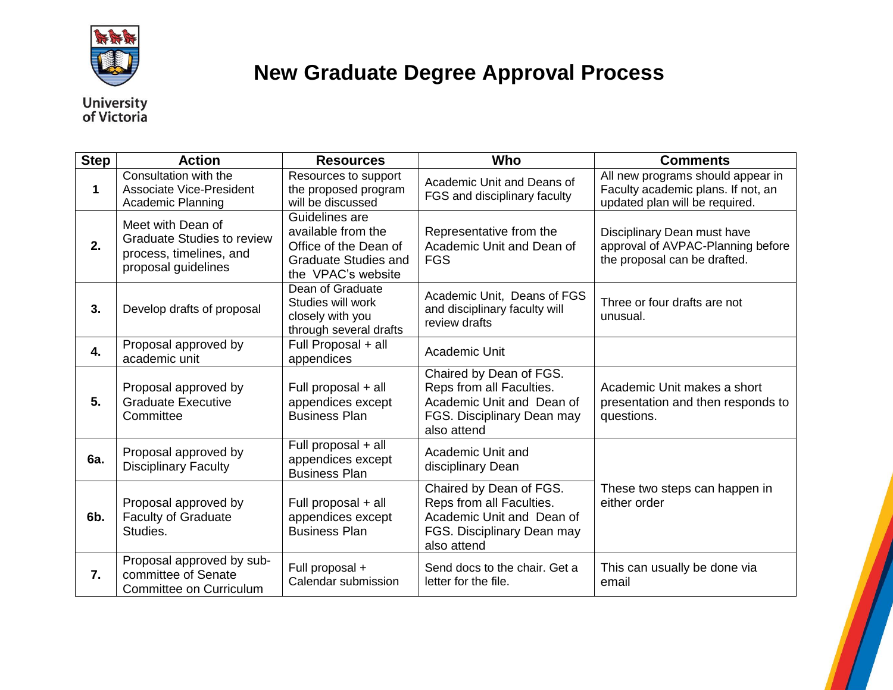

## **New Graduate Degree Approval Process**

## **University**<br>of Victoria

| <b>Step</b> | <b>Action</b>                                                                                            | <b>Resources</b>                                                                                                   | Who                                                                                                                           | <b>Comments</b>                                                                                           |
|-------------|----------------------------------------------------------------------------------------------------------|--------------------------------------------------------------------------------------------------------------------|-------------------------------------------------------------------------------------------------------------------------------|-----------------------------------------------------------------------------------------------------------|
| 1           | Consultation with the<br>Associate Vice-President<br><b>Academic Planning</b>                            | Resources to support<br>the proposed program<br>will be discussed                                                  | Academic Unit and Deans of<br>FGS and disciplinary faculty                                                                    | All new programs should appear in<br>Faculty academic plans. If not, an<br>updated plan will be required. |
| 2.          | Meet with Dean of<br><b>Graduate Studies to review</b><br>process, timelines, and<br>proposal guidelines | Guidelines are<br>available from the<br>Office of the Dean of<br><b>Graduate Studies and</b><br>the VPAC's website | Representative from the<br>Academic Unit and Dean of<br><b>FGS</b>                                                            | Disciplinary Dean must have<br>approval of AVPAC-Planning before<br>the proposal can be drafted.          |
| 3.          | Develop drafts of proposal                                                                               | Dean of Graduate<br>Studies will work<br>closely with you<br>through several drafts                                | Academic Unit, Deans of FGS<br>and disciplinary faculty will<br>review drafts                                                 | Three or four drafts are not<br>unusual.                                                                  |
| 4.          | Proposal approved by<br>academic unit                                                                    | Full Proposal + all<br>appendices                                                                                  | Academic Unit                                                                                                                 |                                                                                                           |
| 5.          | Proposal approved by<br><b>Graduate Executive</b><br>Committee                                           | Full proposal + all<br>appendices except<br><b>Business Plan</b>                                                   | Chaired by Dean of FGS.<br>Reps from all Faculties.<br>Academic Unit and Dean of<br>FGS. Disciplinary Dean may<br>also attend | Academic Unit makes a short<br>presentation and then responds to<br>questions.                            |
| 6a.         | Proposal approved by<br><b>Disciplinary Faculty</b>                                                      | Full proposal + all<br>appendices except<br><b>Business Plan</b>                                                   | Academic Unit and<br>disciplinary Dean                                                                                        |                                                                                                           |
| 6b.         | Proposal approved by<br><b>Faculty of Graduate</b><br>Studies.                                           | Full proposal + all<br>appendices except<br><b>Business Plan</b>                                                   | Chaired by Dean of FGS.<br>Reps from all Faculties.<br>Academic Unit and Dean of<br>FGS. Disciplinary Dean may<br>also attend | These two steps can happen in<br>either order                                                             |
| 7.          | Proposal approved by sub-<br>committee of Senate<br>Committee on Curriculum                              | Full proposal +<br>Calendar submission                                                                             | Send docs to the chair. Get a<br>letter for the file.                                                                         | This can usually be done via<br>email                                                                     |